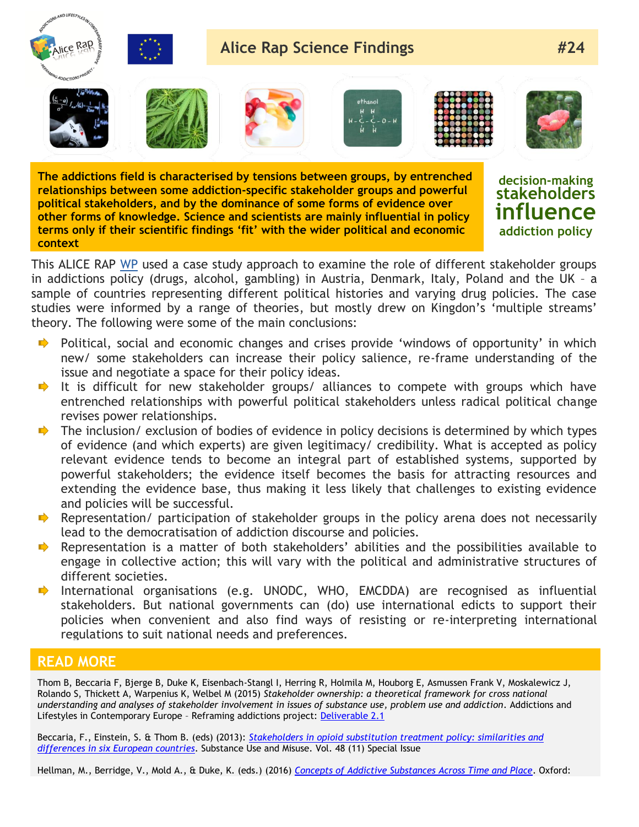

**The addictions field is characterised by tensions between groups, by entrenched relationships between some addiction-specific stakeholder groups and powerful political stakeholders, and by the dominance of some forms of evidence over other forms of knowledge. Science and scientists are mainly influential in policy terms only if their scientific findings 'fit' with the wider political and economic context**

**decision-making stakeholders influence addiction policy**

This ALICE RAP [WP](http://www.alicerap.eu/about-alice-rap/areas-a-workpackages/area-1-ownership-of-addiction.html) used a case study approach to examine the role of different stakeholder groups in addictions policy (drugs, alcohol, gambling) in Austria, Denmark, Italy, Poland and the UK – a sample of countries representing different political histories and varying drug policies. The case studies were informed by a range of theories, but mostly drew on Kingdon's 'multiple streams' theory. The following were some of the main conclusions:

- $\rightarrow$  Political, social and economic changes and crises provide 'windows of opportunity' in which new/ some stakeholders can increase their policy salience, re-frame understanding of the issue and negotiate a space for their policy ideas.
- $\rightarrow$  It is difficult for new stakeholder groups/ alliances to compete with groups which have entrenched relationships with powerful political stakeholders unless radical political change revises power relationships.
- The inclusion/ exclusion of bodies of evidence in policy decisions is determined by which types  $\blacksquare$ of evidence (and which experts) are given legitimacy/ credibility. What is accepted as policy relevant evidence tends to become an integral part of established systems, supported by powerful stakeholders; the evidence itself becomes the basis for attracting resources and extending the evidence base, thus making it less likely that challenges to existing evidence and policies will be successful.
- Representation/ participation of stakeholder groups in the policy arena does not necessarily lead to the democratisation of addiction discourse and policies.
- Representation is a matter of both stakeholders' abilities and the possibilities available to engage in collective action; this will vary with the political and administrative structures of different societies.
- $\Rightarrow$ International organisations (e.g. UNODC, WHO, EMCDDA) are recognised as influential stakeholders. But national governments can (do) use international edicts to support their policies when convenient and also find ways of resisting or re-interpreting international regulations to suit national needs and preferences.

## **READ MORE**  $\mathsf{PFLAD}$  models are international  $\mathsf{C}$  and  $\mathsf{C}$  and  $\mathsf{C}$  alterational levels can offer alterantives alterantives are international levels can offer alteration  $\mathsf{C}$  $\mathbf{r}$  define  $\mathbf{r}$  results.

Thom B, Beccaria F, Bjerge B, Duke K, Eisenbach-Stangl I, Herring R, Holmila M, Houborg E, Asmussen Frank V, Moskalewicz J, Rolando S, Thickett A, Warpenius K, Welbel M (2015) *Stakeholder ownership: a theoretical framework for cross national understanding and analyses of stakeholder involvement in issues of substance use, problem use and addiction.* Addictions and Lifestyles in Contemporary Europe - Reframing addictions project: [Deliverable 2.1](http://www.alicerap.eu/resources/documents/doc_download/273-d2-1-stakeholder-ownership.html)

Beccaria, F., Einstein, S. & Thom B. (eds) (2013): *[Stakeholders in opioid substitution treatment policy: similarities and](http://www.ncbi.nlm.nih.gov/pubmed/23952506)  [differences in six European countries](http://www.ncbi.nlm.nih.gov/pubmed/23952506)*. Substance Use and Misuse. Vol. 48 (11) Special Issue

Hellman, M., Berridge, V., Mold A., & Duke, K. (eds.) (2016) *[Concepts of Addictive Substances Across Time and Place](https://global.oup.com/academic/product/concepts-of-addictive-substances-and-behaviours-across-time-and-place-9780198737797?cc=es&lang=en&)*. Oxford: